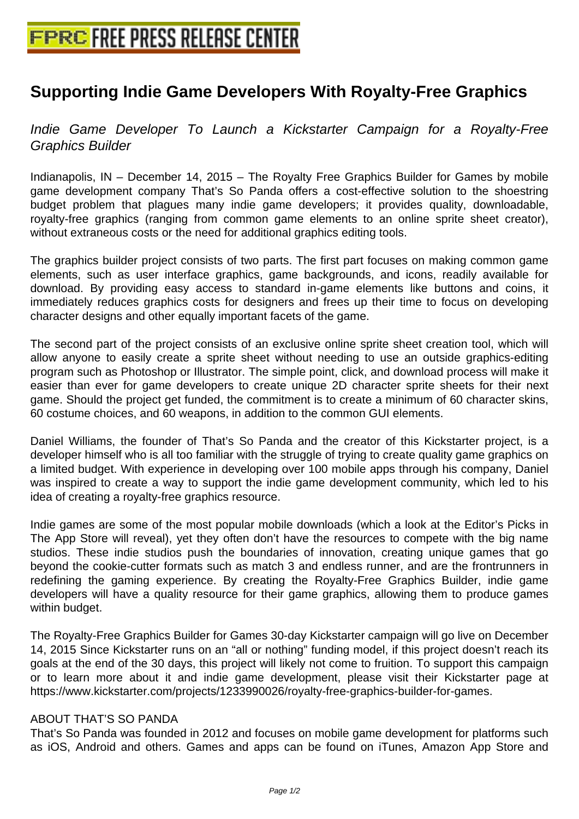## **[Supporting Indie Game Developers](http://www.free-press-release-center.info) With Royalty-Free Graphics**

Indie Game Developer To Launch a Kickstarter Campaign for a Royalty-Free Graphics Builder

Indianapolis, IN – December 14, 2015 – The Royalty Free Graphics Builder for Games by mobile game development company That's So Panda offers a cost-effective solution to the shoestring budget problem that plagues many indie game developers; it provides quality, downloadable, royalty-free graphics (ranging from common game elements to an online sprite sheet creator), without extraneous costs or the need for additional graphics editing tools.

The graphics builder project consists of two parts. The first part focuses on making common game elements, such as user interface graphics, game backgrounds, and icons, readily available for download. By providing easy access to standard in-game elements like buttons and coins, it immediately reduces graphics costs for designers and frees up their time to focus on developing character designs and other equally important facets of the game.

The second part of the project consists of an exclusive online sprite sheet creation tool, which will allow anyone to easily create a sprite sheet without needing to use an outside graphics-editing program such as Photoshop or Illustrator. The simple point, click, and download process will make it easier than ever for game developers to create unique 2D character sprite sheets for their next game. Should the project get funded, the commitment is to create a minimum of 60 character skins, 60 costume choices, and 60 weapons, in addition to the common GUI elements.

Daniel Williams, the founder of That's So Panda and the creator of this Kickstarter project, is a developer himself who is all too familiar with the struggle of trying to create quality game graphics on a limited budget. With experience in developing over 100 mobile apps through his company, Daniel was inspired to create a way to support the indie game development community, which led to his idea of creating a royalty-free graphics resource.

Indie games are some of the most popular mobile downloads (which a look at the Editor's Picks in The App Store will reveal), yet they often don't have the resources to compete with the big name studios. These indie studios push the boundaries of innovation, creating unique games that go beyond the cookie-cutter formats such as match 3 and endless runner, and are the frontrunners in redefining the gaming experience. By creating the Royalty-Free Graphics Builder, indie game developers will have a quality resource for their game graphics, allowing them to produce games within budget.

The Royalty-Free Graphics Builder for Games 30-day Kickstarter campaign will go live on December 14, 2015 Since Kickstarter runs on an "all or nothing" funding model, if this project doesn't reach its goals at the end of the 30 days, this project will likely not come to fruition. To support this campaign or to learn more about it and indie game development, please visit their Kickstarter page at https://www.kickstarter.com/projects/1233990026/royalty-free-graphics-builder-for-games.

## ABOUT THAT'S SO PANDA

That's So Panda was founded in 2012 and focuses on mobile game development for platforms such as iOS, Android and others. Games and apps can be found on iTunes, Amazon App Store and